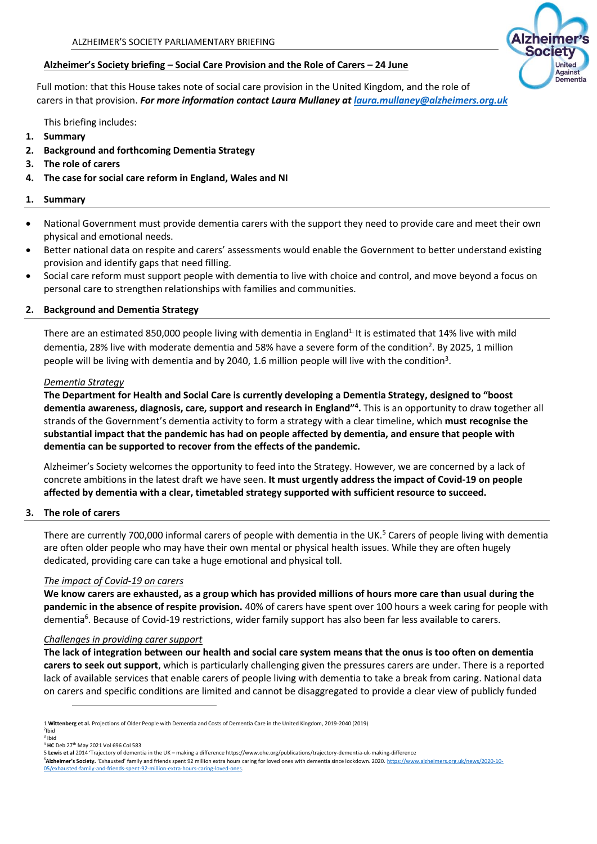## **Alzheimer's Society briefing – Social Care Provision and the Role of Carers – 24 June**

Full motion: that this House takes note of social care provision in the United Kingdom, and the role of carers in that provision. *For more information contact Laura Mullaney a[t laura.mullaney@alzheimers.org.uk](mailto:laura.mullaney@alzheimers.org.uk)*

This briefing includes:

- **1. Summary**
- **2. Background and forthcoming Dementia Strategy**
- **3. The role of carers**
- **4. The case for social care reform in England, Wales and NI**

## **1. Summary**

- National Government must provide dementia carers with the support they need to provide care and meet their own physical and emotional needs.
- Better national data on respite and carers' assessments would enable the Government to better understand existing provision and identify gaps that need filling.
- Social care reform must support people with dementia to live with choice and control, and move beyond a focus on personal care to strengthen relationships with families and communities.

# **2. Background and Dementia Strategy**

There are an estimated 850,000 people living with dementia in England<sup>1.</sup> It is estimated that 14% live with mild dementia, 28% live with moderate dementia and 58% have a severe form of the condition<sup>2</sup>. By 2025, 1 million people will be living with dementia and by 2040, 1.6 million people will live with the condition<sup>3</sup>.

## *Dementia Strategy*

**The Department for Health and Social Care is currently developing a Dementia Strategy, designed to "boost dementia awareness, diagnosis, care, support and research in England"<sup>4</sup> .** This is an opportunity to draw together all strands of the Government's dementia activity to form a strategy with a clear timeline, which **must recognise the substantial impact that the pandemic has had on people affected by dementia, and ensure that people with dementia can be supported to recover from the effects of the pandemic.** 

Alzheimer's Society welcomes the opportunity to feed into the Strategy. However, we are concerned by a lack of concrete ambitions in the latest draft we have seen. **It must urgently address the impact of Covid-19 on people affected by dementia with a clear, timetabled strategy supported with sufficient resource to succeed.**

# **3. The role of carers**

There are currently 700,000 informal carers of people with dementia in the UK.<sup>5</sup> Carers of people living with dementia are often older people who may have their own mental or physical health issues. While they are often hugely dedicated, providing care can take a huge emotional and physical toll.

### *The impact of Covid-19 on carers*

**We know carers are exhausted, as a group which has provided millions of hours more care than usual during the pandemic in the absence of respite provision.** 40% of carers have spent over 100 hours a week caring for people with dementia<sup>6</sup>. Because of Covid-19 restrictions, wider family support has also been far less available to carers.

### *Challenges in providing carer support*

**The lack of integration between our health and social care system means that the onus is too often on dementia carers to seek out support**, which is particularly challenging given the pressures carers are under. There is a reported lack of available services that enable carers of people living with dementia to take a break from caring. National data on carers and specific conditions are limited and cannot be disaggregated to provide a clear view of publicly funded



<sup>1</sup> **Wittenberg et al.** Projections of Older People with Dementia and Costs of Dementia Care in the United Kingdom, 2019-2040 (2019) <sup>2</sup>Ibid

<sup>3</sup> Ibid

<sup>4</sup> **HC** Deb 27th May 2021 Vol 696 Col 583

<sup>5</sup> **Lewis et al** 2014 'Trajectory of dementia in the UK – making a differenc[e https://www.ohe.org/publications/trajectory-dementia-uk-making-difference](https://www.ohe.org/publications/trajectory-dementia-uk-making-difference) <sup>6</sup>**Alzheimer's Society.** 'Exhausted' family and friends spent 92 million extra hours caring for loved ones with dementia since lockdown. 2020. [https://www.alzheimers.org.uk/news/2020-10-](https://www.alzheimers.org.uk/news/2020-10-05/exhausted-family-and-friends-spent-92-million-extra-hours-caring-loved-ones) [05/exhausted-family-and-friends-spent-92-million-extra-hours-caring-loved-ones.](https://www.alzheimers.org.uk/news/2020-10-05/exhausted-family-and-friends-spent-92-million-extra-hours-caring-loved-ones)